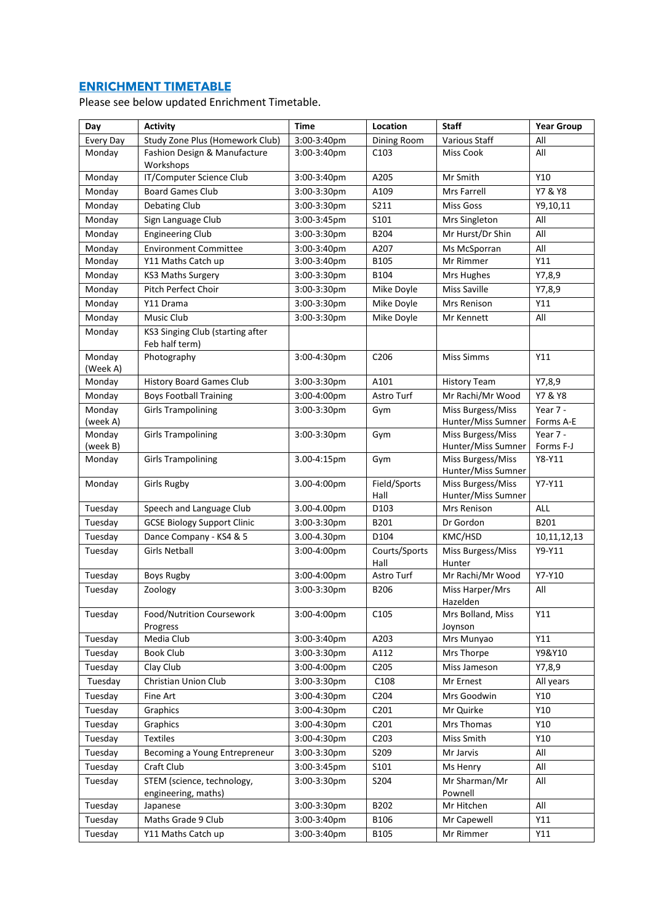## **ENRICHMENT TIMETABLE**

Please see below updated Enrichment Timetable.

| Day                | <b>Activity</b>                                    | <b>Time</b> | Location              | <b>Staff</b>                            | <b>Year Group</b>     |
|--------------------|----------------------------------------------------|-------------|-----------------------|-----------------------------------------|-----------------------|
| <b>Every Day</b>   | Study Zone Plus (Homework Club)                    | 3:00-3:40pm | Dining Room           | Various Staff                           | All                   |
| Monday             | Fashion Design & Manufacture<br>Workshops          | 3:00-3:40pm | C103                  | <b>Miss Cook</b>                        | All                   |
| Monday             | IT/Computer Science Club                           | 3:00-3:40pm | A205                  | Mr Smith                                | Y10                   |
| Monday             | <b>Board Games Club</b>                            | 3:00-3:30pm | A109                  | Mrs Farrell                             | Y7 & Y8               |
| Monday             | <b>Debating Club</b>                               | 3:00-3:30pm | S211                  | <b>Miss Goss</b>                        | Y9,10,11              |
| Monday             | Sign Language Club                                 | 3:00-3:45pm | S101                  | Mrs Singleton                           | All                   |
| Monday             | <b>Engineering Club</b>                            | 3:00-3:30pm | B204                  | Mr Hurst/Dr Shin                        | All                   |
| Monday             | <b>Environment Committee</b>                       | 3:00-3:40pm | A207                  | Ms McSporran                            | All                   |
| Monday             | Y11 Maths Catch up                                 | 3:00-3:40pm | B105                  | Mr Rimmer                               | Y11                   |
| Monday             | <b>KS3 Maths Surgery</b>                           | 3:00-3:30pm | B104                  | Mrs Hughes                              | Y7,8,9                |
| Monday             | <b>Pitch Perfect Choir</b>                         | 3:00-3:30pm | Mike Doyle            | <b>Miss Saville</b>                     | Y7,8,9                |
| Monday             | Y11 Drama                                          | 3:00-3:30pm | Mike Doyle            | Mrs Renison                             | Y11                   |
| Monday             | Music Club                                         | 3:00-3:30pm | Mike Doyle            | Mr Kennett                              | All                   |
| Monday             | KS3 Singing Club (starting after<br>Feb half term) |             |                       |                                         |                       |
| Monday             | Photography                                        | 3:00-4:30pm | C <sub>206</sub>      | <b>Miss Simms</b>                       | Y11                   |
| (Week A)           |                                                    |             |                       |                                         |                       |
| Monday             | <b>History Board Games Club</b>                    | 3:00-3:30pm | A101                  | <b>History Team</b>                     | Y7,8,9                |
| Monday             | <b>Boys Football Training</b>                      | 3:00-4:00pm | Astro Turf            | Mr Rachi/Mr Wood                        | Y7 & Y8               |
| Monday             | <b>Girls Trampolining</b>                          | 3:00-3:30pm | Gym                   | Miss Burgess/Miss                       | Year 7 -              |
| (week A)           |                                                    |             |                       | Hunter/Miss Sumner                      | Forms A-E             |
| Monday             | <b>Girls Trampolining</b>                          | 3:00-3:30pm | Gym                   | Miss Burgess/Miss<br>Hunter/Miss Sumner | Year 7 -<br>Forms F-J |
| (week B)<br>Monday | <b>Girls Trampolining</b>                          | 3.00-4:15pm | Gym                   | Miss Burgess/Miss                       | Y8-Y11                |
|                    |                                                    |             |                       | Hunter/Miss Sumner                      |                       |
| Monday             | <b>Girls Rugby</b>                                 | 3.00-4:00pm | Field/Sports<br>Hall  | Miss Burgess/Miss<br>Hunter/Miss Sumner | $Y7-Y11$              |
| Tuesday            | Speech and Language Club                           | 3.00-4.00pm | D103                  | Mrs Renison                             | ALL                   |
| Tuesday            | <b>GCSE Biology Support Clinic</b>                 | 3:00-3:30pm | B201                  | Dr Gordon                               | B201                  |
| Tuesday            | Dance Company - KS4 & 5                            | 3.00-4.30pm | D104                  | KMC/HSD                                 | 10,11,12,13           |
| Tuesday            | <b>Girls Netball</b>                               | 3:00-4:00pm | Courts/Sports<br>Hall | Miss Burgess/Miss<br>Hunter             | Y9-Y11                |
| Tuesday            | <b>Boys Rugby</b>                                  | 3:00-4:00pm | Astro Turf            | Mr Rachi/Mr Wood                        | Y7-Y10                |
| Tuesday            | Zoology                                            | 3:00-3:30pm | B206                  | Miss Harper/Mrs<br>Hazelden             | All                   |
| Tuesday            | Food/Nutrition Coursework<br>Progress              | 3:00-4:00pm | C <sub>105</sub>      | Mrs Bolland, Miss<br>Joynson            | Y11                   |
| Tuesday            | Media Club                                         | 3:00-3:40pm | A203                  | Mrs Munyao                              | Y11                   |
| Tuesday            | <b>Book Club</b>                                   | 3:00-3:30pm | A112                  | Mrs Thorpe                              | Y9&Y10                |
| Tuesday            | Clay Club                                          | 3:00-4:00pm | C205                  | Miss Jameson                            | Y7,8,9                |
| Tuesday            | Christian Union Club                               | 3:00-3:30pm | C108                  | Mr Ernest                               | All years             |
| Tuesday            | Fine Art                                           | 3:00-4:30pm | C204                  | Mrs Goodwin                             | Y10                   |
| Tuesday            | Graphics                                           | 3:00-4:30pm | C <sub>2</sub> 01     | Mr Quirke                               | Y10                   |
| Tuesday            | Graphics                                           | 3:00-4:30pm | C201                  | Mrs Thomas                              | Y10                   |
| Tuesday            | Textiles                                           | 3:00-4:30pm | C203                  | Miss Smith                              | Y10                   |
| Tuesday            | Becoming a Young Entrepreneur                      | 3:00-3:30pm | S209                  | Mr Jarvis                               | All                   |
| Tuesday            | Craft Club                                         | 3:00-3:45pm | S101                  | Ms Henry                                | All                   |
| Tuesday            | STEM (science, technology,                         | 3:00-3:30pm | S204                  | Mr Sharman/Mr                           | All                   |
|                    | engineering, maths)                                |             |                       | Pownell                                 |                       |
| Tuesday            | Japanese                                           | 3:00-3:30pm | B202                  | Mr Hitchen                              | All                   |
| Tuesday            | Maths Grade 9 Club                                 | 3:00-3:40pm | <b>B106</b>           | Mr Capewell                             | Y11                   |
| Tuesday            | Y11 Maths Catch up                                 | 3:00-3:40pm | B105                  | Mr Rimmer                               | Y11                   |